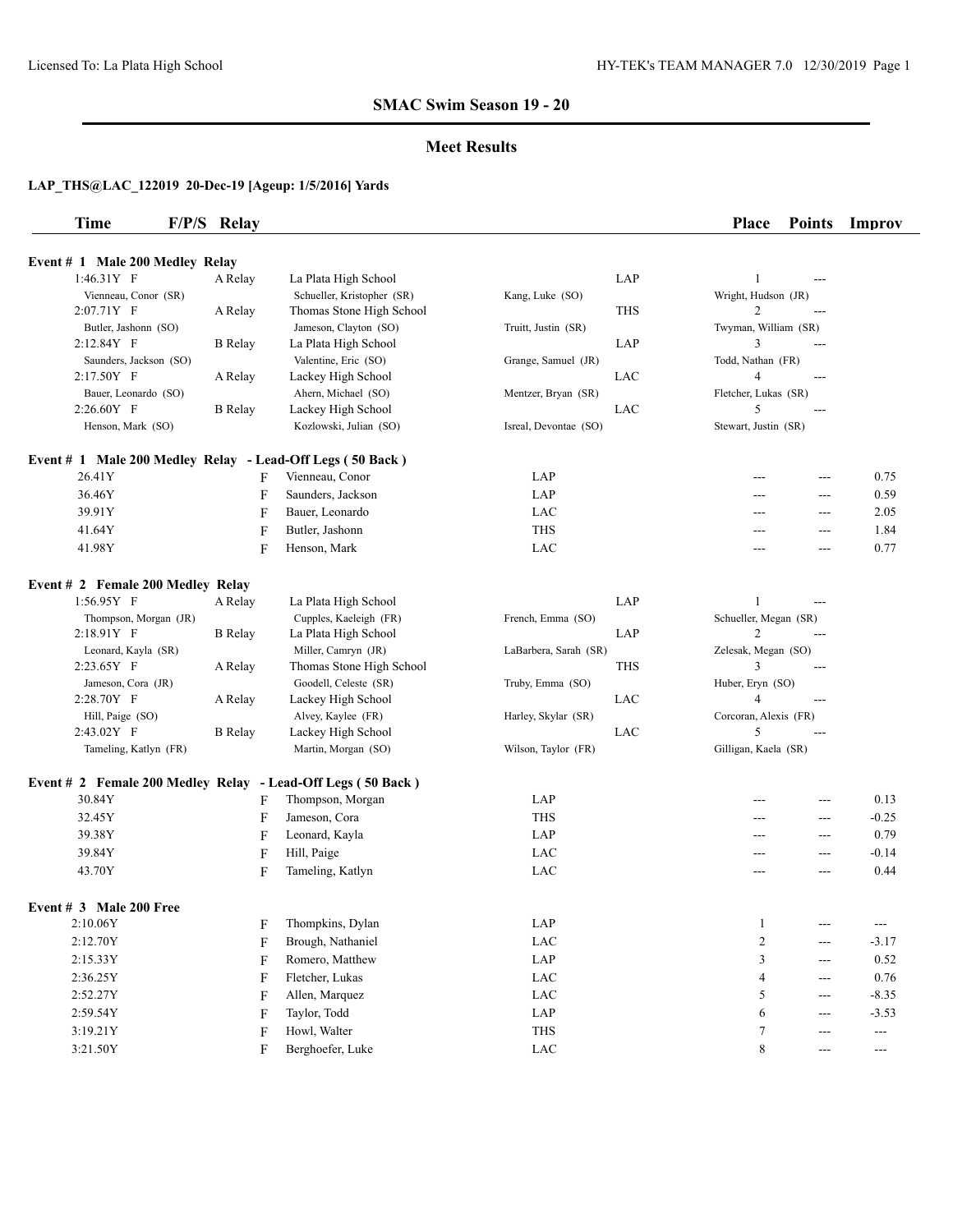#### **Meet Results**

| <b>Time</b>                                                 | F/P/S Relay    |                            |                       |            | <b>Place</b>          | <b>Points</b>     | Improv               |
|-------------------------------------------------------------|----------------|----------------------------|-----------------------|------------|-----------------------|-------------------|----------------------|
| Event # 1 Male 200 Medley Relay                             |                |                            |                       |            |                       |                   |                      |
| $1:46.31Y$ F                                                | A Relay        | La Plata High School       |                       | LAP        | $\mathbf{1}$          | ---               |                      |
| Vienneau, Conor (SR)                                        |                | Schueller, Kristopher (SR) | Kang, Luke (SO)       |            | Wright, Hudson (JR)   |                   |                      |
| $2:07.71Y$ F                                                | A Relay        | Thomas Stone High School   |                       | THS        | 2                     |                   |                      |
| Butler, Jashonn (SO)                                        |                | Jameson, Clayton (SO)      | Truitt, Justin (SR)   |            | Twyman, William (SR)  |                   |                      |
| 2:12.84Y F                                                  | <b>B</b> Relay | La Plata High School       |                       | LAP        | 3                     | $---$             |                      |
| Saunders, Jackson (SO)                                      |                | Valentine, Eric (SO)       | Grange, Samuel (JR)   |            | Todd, Nathan (FR)     |                   |                      |
| $2:17.50Y$ F                                                | A Relay        | Lackey High School         |                       | LAC        | $\overline{4}$        | $---$             |                      |
| Bauer, Leonardo (SO)                                        |                | Ahern, Michael (SO)        | Mentzer, Bryan (SR)   |            | Fletcher, Lukas (SR)  |                   |                      |
| 2:26.60Y F                                                  | <b>B</b> Relay | Lackey High School         |                       | LAC        | 5                     | ---               |                      |
| Henson, Mark (SO)                                           |                | Kozlowski, Julian (SO)     | Isreal, Devontae (SO) |            | Stewart, Justin (SR)  |                   |                      |
| Event # 1 Male 200 Medley Relay - Lead-Off Legs (50 Back)   |                |                            |                       |            |                       |                   |                      |
| 26.41Y                                                      |                | Vienneau, Conor<br>F       | LAP                   |            |                       | $---$             | 0.75                 |
| 36.46Y                                                      |                | F<br>Saunders, Jackson     | LAP                   |            | ---                   | $\overline{a}$    | 0.59                 |
| 39.91Y                                                      |                | F<br>Bauer, Leonardo       | LAC                   |            | ---                   | $---$             | 2.05                 |
| 41.64Y                                                      |                | Butler, Jashonn<br>F       | <b>THS</b>            |            | ---                   | ---               | 1.84                 |
| 41.98Y                                                      |                |                            | LAC                   |            |                       |                   | 0.77                 |
|                                                             |                | F<br>Henson, Mark          |                       |            | ---                   | $---$             |                      |
| Event # 2 Female 200 Medley Relay                           |                |                            |                       |            |                       |                   |                      |
| 1:56.95Y F                                                  | A Relay        | La Plata High School       |                       | LAP        | 1                     | ---               |                      |
| Thompson, Morgan (JR)                                       |                | Cupples, Kaeleigh (FR)     | French, Emma (SO)     |            | Schueller, Megan (SR) |                   |                      |
| 2:18.91Y F                                                  | <b>B</b> Relay | La Plata High School       |                       | LAP        | $\mathbf{2}$          | ---               |                      |
| Leonard, Kayla (SR)                                         |                | Miller, Camryn (JR)        | LaBarbera, Sarah (SR) |            | Zelesak, Megan (SO)   |                   |                      |
| 2:23.65Y F                                                  | A Relay        | Thomas Stone High School   |                       | <b>THS</b> | 3                     | ---               |                      |
| Jameson, Cora (JR)                                          |                | Goodell, Celeste (SR)      | Truby, Emma (SO)      |            | Huber, Eryn (SO)      |                   |                      |
| 2:28.70Y F                                                  | A Relay        | Lackey High School         |                       | LAC        | $\overline{4}$        | ---               |                      |
| Hill, Paige (SO)                                            |                | Alvey, Kaylee (FR)         | Harley, Skylar (SR)   |            | Corcoran, Alexis (FR) |                   |                      |
| 2:43.02Y F                                                  | <b>B</b> Relay | Lackey High School         |                       | LAC        | 5                     | ---               |                      |
| Tameling, Katlyn (FR)                                       |                | Martin, Morgan (SO)        | Wilson, Taylor (FR)   |            | Gilligan, Kaela (SR)  |                   |                      |
| Event # 2 Female 200 Medley Relay - Lead-Off Legs (50 Back) |                |                            |                       |            |                       |                   |                      |
| 30.84Y                                                      |                | Thompson, Morgan<br>F      | LAP                   |            |                       | ---               | 0.13                 |
| 32.45Y                                                      |                | Jameson, Cora<br>F         | <b>THS</b>            |            | $---$                 | $---$             | $-0.25$              |
| 39.38Y                                                      |                | F<br>Leonard, Kayla        | LAP                   |            | ---                   | $---$             | 0.79                 |
| 39.84Y                                                      |                | Hill, Paige<br>F           | LAC                   |            | ---                   | $---$             | $-0.14$              |
| 43.70Y                                                      |                | F<br>Tameling, Katlyn      | LAC                   |            | ---                   | ---               | 0.44                 |
| Event $# 3$ Male 200 Free                                   |                |                            |                       |            |                       |                   |                      |
| 2:10.06Y                                                    |                | Thompkins, Dylan<br>F      | LAP                   |            | $\mathbf{1}$          | $---$             | $\cdots$             |
| 2:12.70Y                                                    |                | F<br>Brough, Nathaniel     | LAC                   |            | $\overline{c}$        | ---               | $-3.17$              |
| 2:15.33Y                                                    |                | Romero, Matthew<br>F       | LAP                   |            | 3                     | $---$             | $0.52\,$             |
|                                                             |                |                            |                       |            |                       |                   |                      |
| 2:36.25Y                                                    |                | F<br>Fletcher, Lukas       | LAC                   |            | 4                     | $---$             | $0.76\,$             |
| 2:52.27Y                                                    |                | Allen, Marquez<br>F        | $_{\rm LAC}$          |            | 5                     | $---$             | $-8.35$              |
| 2:59.54Y                                                    |                | Taylor, Todd<br>F          | LAP                   |            | 6                     | $\qquad \qquad -$ | $-3.53$              |
| 3:19.21Y                                                    |                | Howl, Walter<br>F          | THS                   |            | 7                     | $---$             | $\cdots$             |
| 3:21.50Y                                                    |                | Berghoefer, Luke<br>F      | LAC                   |            | 8                     | $---$             | $\scriptstyle\cdots$ |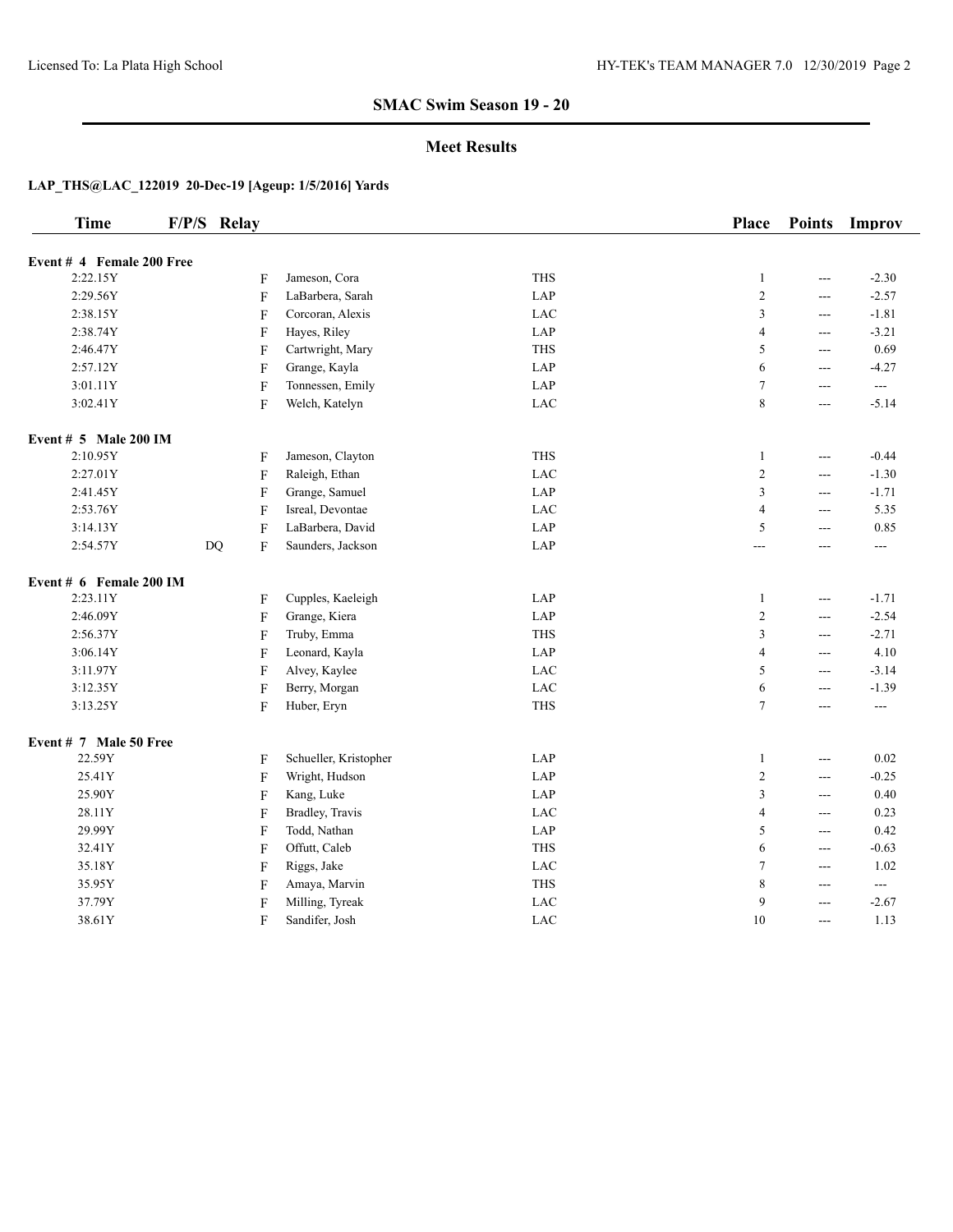#### **Meet Results**

| <b>Time</b>               | F/P/S Relay |             |                       |            | Place                   | <b>Points</b>  | Improv   |
|---------------------------|-------------|-------------|-----------------------|------------|-------------------------|----------------|----------|
| Event # 4 Female 200 Free |             |             |                       |            |                         |                |          |
| 2:22.15Y                  |             | F           | Jameson, Cora         | <b>THS</b> | $\mathbf{1}$            | $\overline{a}$ | $-2.30$  |
| 2:29.56Y                  |             | F           | LaBarbera, Sarah      | LAP        | $\overline{c}$          | $\overline{a}$ | $-2.57$  |
| 2:38.15Y                  |             | F           | Corcoran, Alexis      | LAC        | 3                       | $\overline{a}$ | $-1.81$  |
| 2:38.74Y                  |             | F           | Hayes, Riley          | LAP        | $\overline{4}$          | $ -$           | $-3.21$  |
| 2:46.47Y                  |             | F           | Cartwright, Mary      | <b>THS</b> | 5                       | $\overline{a}$ | 0.69     |
| 2:57.12Y                  |             | ${\bf F}$   | Grange, Kayla         | LAP        | 6                       | $--$           | $-4.27$  |
| 3:01.11Y                  |             | ${\bf F}$   | Tonnessen, Emily      | LAP        | $\tau$                  | $\overline{a}$ | $--$     |
| 3:02.41Y                  |             | F           | Welch, Katelyn        | LAC        | $\,$ $\,$               | $ -$           | $-5.14$  |
| Event $# 5$ Male 200 IM   |             |             |                       |            |                         |                |          |
| 2:10.95Y                  |             | F           | Jameson, Clayton      | <b>THS</b> | $\mathbf{1}$            | $\sim$ $\sim$  | $-0.44$  |
| 2:27.01Y                  |             | ${\bf F}$   | Raleigh, Ethan        | <b>LAC</b> | $\overline{c}$          | $\overline{a}$ | $-1.30$  |
| 2:41.45Y                  |             | F           | Grange, Samuel        | LAP        | 3                       | $\overline{a}$ | $-1.71$  |
| 2:53.76Y                  |             | ${\bf F}$   | Isreal, Devontae      | LAC        | $\overline{\mathbf{4}}$ | $\overline{a}$ | 5.35     |
| 3:14.13Y                  |             | ${\bf F}$   | LaBarbera, David      | LAP        | 5                       | $\overline{a}$ | 0.85     |
| 2:54.57Y                  | DQ          | F           | Saunders, Jackson     | LAP        | ---                     | $\overline{a}$ | $\cdots$ |
| Event $# 6$ Female 200 IM |             |             |                       |            |                         |                |          |
| 2:23.11Y                  |             | F           | Cupples, Kaeleigh     | LAP        | $\mathbf{1}$            | $\overline{a}$ | $-1.71$  |
| 2:46.09Y                  |             | F           | Grange, Kiera         | LAP        | $\overline{c}$          | $\overline{a}$ | $-2.54$  |
| 2:56.37Y                  |             | ${\bf F}$   | Truby, Emma           | <b>THS</b> | 3                       | $--$           | $-2.71$  |
| 3:06.14Y                  |             | F           | Leonard, Kayla        | LAP        | $\overline{4}$          | $\overline{a}$ | 4.10     |
| 3:11.97Y                  |             | F           | Alvey, Kaylee         | LAC        | 5                       | $\overline{a}$ | $-3.14$  |
| 3:12.35Y                  |             | F           | Berry, Morgan         | LAC        | 6                       | $\overline{a}$ | $-1.39$  |
| 3:13.25Y                  |             | F           | Huber, Eryn           | <b>THS</b> | $\tau$                  | $--$           | $\cdots$ |
| Event # 7 Male 50 Free    |             |             |                       |            |                         |                |          |
| 22.59Y                    |             | F           | Schueller, Kristopher | LAP        | $\mathbf{1}$            | $\overline{a}$ | 0.02     |
| 25.41Y                    |             | ${\bf F}$   | Wright, Hudson        | LAP        | $\overline{c}$          | $ -$           | $-0.25$  |
| 25.90Y                    |             | F           | Kang, Luke            | LAP        | 3                       | $\overline{a}$ | 0.40     |
| 28.11Y                    |             | ${\bf F}$   | Bradley, Travis       | LAC        | $\overline{4}$          | $--$           | 0.23     |
| 29.99Y                    |             | $\mathbf F$ | Todd, Nathan          | LAP        | 5                       | $\overline{a}$ | 0.42     |
| 32.41Y                    |             | F           | Offutt, Caleb         | <b>THS</b> | 6                       | $--$           | $-0.63$  |
| 35.18Y                    |             | F           | Riggs, Jake           | LAC        | $\boldsymbol{7}$        | $\overline{a}$ | 1.02     |
| 35.95Y                    |             | F           | Amaya, Marvin         | <b>THS</b> | $\,$ $\,$               | $\overline{a}$ | $--$     |
| 37.79Y                    |             | ${\bf F}$   | Milling, Tyreak       | LAC        | 9                       | $\overline{a}$ | $-2.67$  |
| 38.61Y                    |             | F           | Sandifer, Josh        | <b>LAC</b> | 10                      | $\overline{a}$ | 1.13     |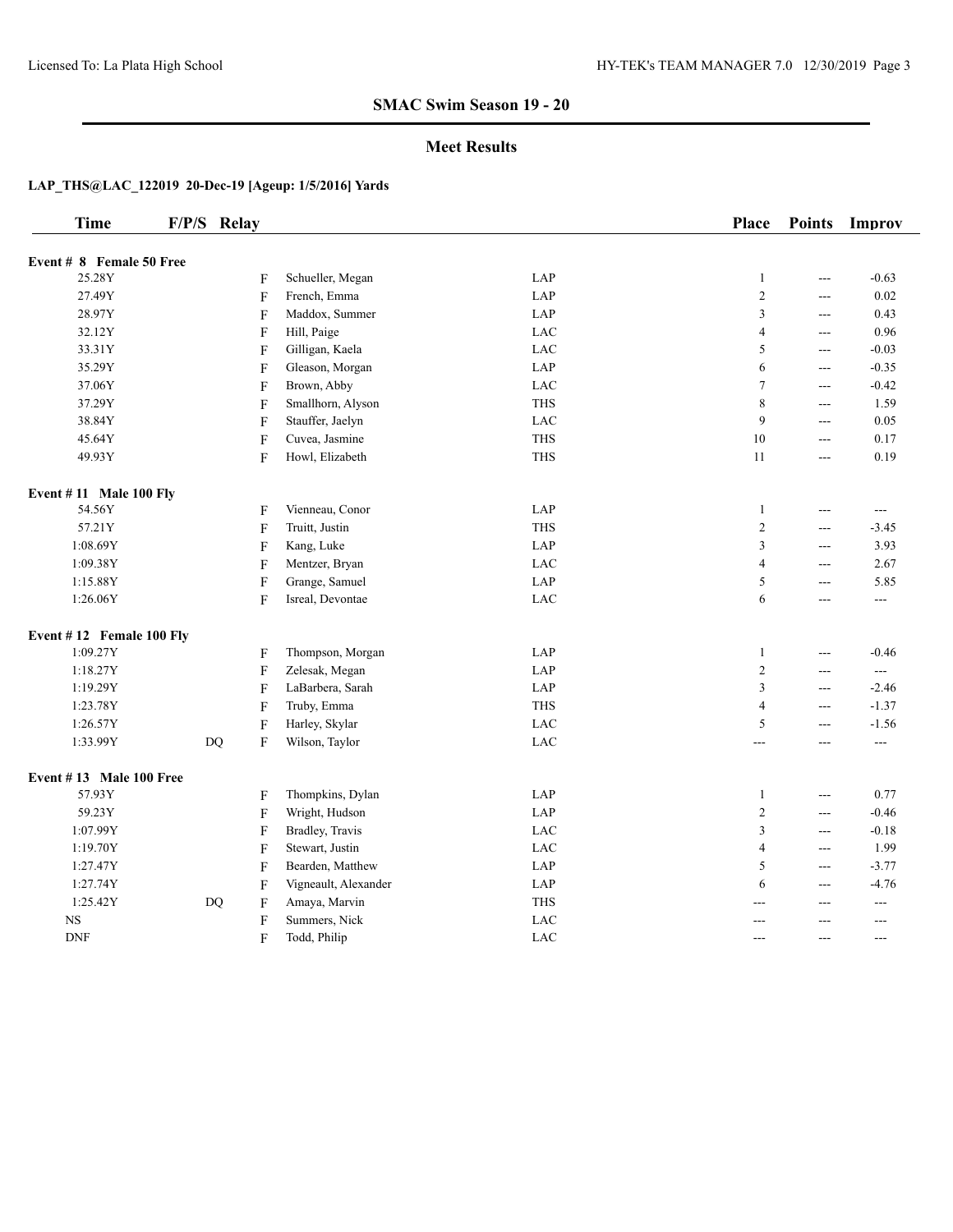#### **Meet Results**

| <b>Time</b>               | F/P/S Relay               |                      |            | <b>Place</b>     | <b>Points</b>  | Improv         |
|---------------------------|---------------------------|----------------------|------------|------------------|----------------|----------------|
| Event # 8 Female 50 Free  |                           |                      |            |                  |                |                |
| 25.28Y                    | F                         | Schueller, Megan     | LAP        | $\mathbf{1}$     | ---            | $-0.63$        |
| 27.49Y                    | F                         | French, Emma         | LAP        | $\overline{c}$   | $\frac{1}{2}$  | 0.02           |
| 28.97Y                    | $\boldsymbol{\mathrm{F}}$ | Maddox, Summer       | LAP        | 3                | ---            | 0.43           |
| 32.12Y                    | ${\bf F}$                 | Hill, Paige          | LAC        | $\overline{4}$   | $\overline{a}$ | 0.96           |
| 33.31Y                    | F                         | Gilligan, Kaela      | <b>LAC</b> | 5                | $\frac{1}{2}$  | $-0.03$        |
| 35.29Y                    | F                         | Gleason, Morgan      | LAP        | 6                | ---            | $-0.35$        |
| 37.06Y                    | F                         | Brown, Abby          | LAC        | $\tau$           | ---            | $-0.42$        |
| 37.29Y                    | F                         | Smallhorn, Alyson    | <b>THS</b> | $\,$ $\,$        | $\frac{1}{2}$  | 1.59           |
| 38.84Y                    | ${\bf F}$                 | Stauffer, Jaelyn     | <b>LAC</b> | 9                | ---            | 0.05           |
| 45.64Y                    | ${\bf F}$                 | Cuvea, Jasmine       | <b>THS</b> | $10\,$           | $\overline{a}$ | 0.17           |
| 49.93Y                    | F                         | Howl, Elizabeth      | <b>THS</b> | 11               | ---            | 0.19           |
| Event $# 11$ Male 100 Fly |                           |                      |            |                  |                |                |
| 54.56Y                    | F                         | Vienneau, Conor      | LAP        | $\mathbf{1}$     | $\frac{1}{2}$  | $---$          |
| 57.21Y                    | $\boldsymbol{\mathrm{F}}$ | Truitt, Justin       | <b>THS</b> | $\sqrt{2}$       | $\overline{a}$ | $-3.45$        |
| 1:08.69Y                  | F                         | Kang, Luke           | LAP        | 3                | ---            | 3.93           |
| 1:09.38Y                  | F                         | Mentzer, Bryan       | LAC        | $\overline{4}$   | ---            | 2.67           |
| 1:15.88Y                  | $\boldsymbol{\mathrm{F}}$ | Grange, Samuel       | LAP        | 5                | $---$          | 5.85           |
| 1:26.06Y                  | $\boldsymbol{\mathrm{F}}$ | Isreal, Devontae     | <b>LAC</b> | 6                | ---            | ---            |
| Event #12 Female 100 Fly  |                           |                      |            |                  |                |                |
| 1:09.27Y                  | F                         | Thompson, Morgan     | LAP        | $\mathbf{1}$     | ---            | $-0.46$        |
| 1:18.27Y                  | F                         | Zelesak, Megan       | LAP        | $\boldsymbol{2}$ | ---            | $\overline{a}$ |
| 1:19.29Y                  | F                         | LaBarbera, Sarah     | LAP        | 3                | $\overline{a}$ | $-2.46$        |
| 1:23.78Y                  | $\boldsymbol{\mathrm{F}}$ | Truby, Emma          | <b>THS</b> | $\overline{4}$   | $---$          | $-1.37$        |
| 1:26.57Y                  | ${\bf F}$                 | Harley, Skylar       | <b>LAC</b> | 5                | ---            | $-1.56$        |
| 1:33.99Y                  | DQ<br>F                   | Wilson, Taylor       | LAC        | ---              | ---            | $---$          |
| Event $#13$ Male 100 Free |                           |                      |            |                  |                |                |
| 57.93Y                    | F                         | Thompkins, Dylan     | LAP        | $\mathbf{1}$     | $\frac{1}{2}$  | 0.77           |
| 59.23Y                    | ${\bf F}$                 | Wright, Hudson       | LAP        | $\sqrt{2}$       | ---            | $-0.46$        |
| 1:07.99Y                  | F                         | Bradley, Travis      | LAC        | 3                | ---            | $-0.18$        |
| 1:19.70Y                  | ${\bf F}$                 | Stewart, Justin      | <b>LAC</b> | $\overline{4}$   | $\overline{a}$ | 1.99           |
| 1:27.47Y                  | $\mathbf F$               | Bearden, Matthew     | LAP        | 5                | $\overline{a}$ | $-3.77$        |
| 1:27.74Y                  | F                         | Vigneault, Alexander | LAP        | 6                | ---            | $-4.76$        |
| 1:25.42Y                  | DQ<br>F                   | Amaya, Marvin        | <b>THS</b> | ---              | ---            | $---$          |
| $_{\rm NS}$               | ${\bf F}$                 | Summers, Nick        | LAC        | ---              | $\overline{a}$ | $---$          |
| <b>DNF</b>                | F                         | Todd, Philip         | LAC        | ---              | $\overline{a}$ | ---            |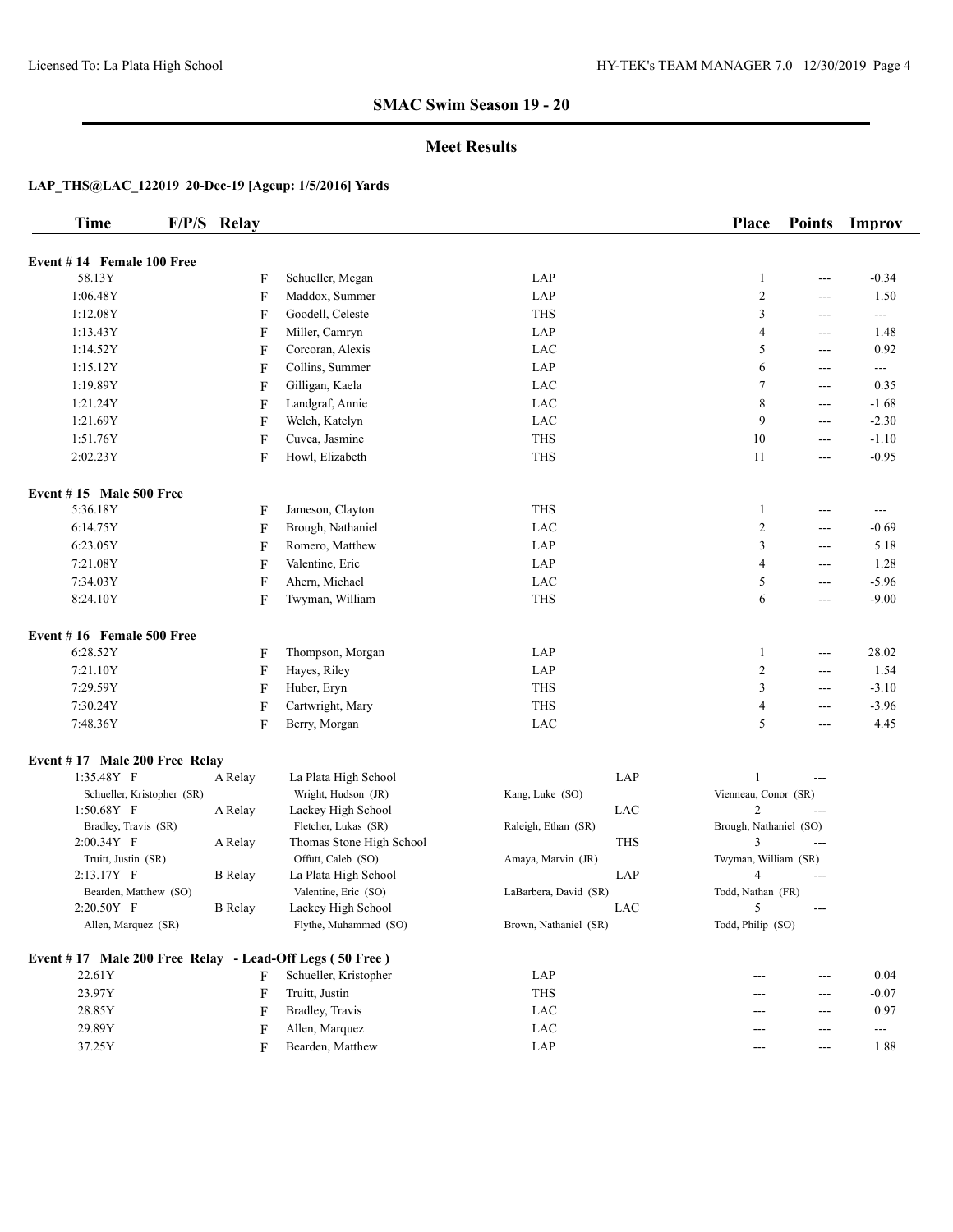#### **Meet Results**

| <b>Time</b>                                             | F/P/S Relay    |                          |                       |            | <b>Place</b>           | <b>Points</b>  | Improv  |
|---------------------------------------------------------|----------------|--------------------------|-----------------------|------------|------------------------|----------------|---------|
| Event #14 Female 100 Free                               |                |                          |                       |            |                        |                |         |
| 58.13Y                                                  | $\mathbf{F}$   | Schueller, Megan         | LAP                   |            | $\mathbf{1}$           | ---            | $-0.34$ |
| 1:06.48Y                                                | F              | Maddox, Summer           | LAP                   |            | $\mathbf{2}$           | ---            | 1.50    |
| 1:12.08Y                                                | F              | Goodell, Celeste         | <b>THS</b>            |            | 3                      | $---$          | $-$     |
| 1:13.43Y                                                | $\mathbf F$    | Miller, Camryn           | LAP                   |            | 4                      | $---$          | 1.48    |
| 1:14.52Y                                                | $\mathbf F$    | Corcoran, Alexis         | LAC                   |            | 5                      | $---$          | 0.92    |
| 1:15.12Y                                                | $\mathbf F$    | Collins, Summer          | LAP                   |            | 6                      | ---            | ---     |
| 1:19.89Y                                                | $\mathbf F$    | Gilligan, Kaela          | LAC                   |            | 7                      | ---            | 0.35    |
| 1:21.24Y                                                | $\mathbf F$    | Landgraf, Annie          | LAC                   |            | 8                      | ---            | $-1.68$ |
| 1:21.69Y                                                | $\mathbf F$    | Welch, Katelyn           | LAC                   |            | 9                      | ---            | $-2.30$ |
|                                                         |                |                          | <b>THS</b>            |            | 10                     |                | $-1.10$ |
| 1:51.76Y                                                | $\mathbf F$    | Cuvea, Jasmine           |                       |            |                        | $---$          |         |
| 2:02.23Y                                                | F              | Howl, Elizabeth          | <b>THS</b>            |            | 11                     | $---$          | $-0.95$ |
| Event $#15$ Male 500 Free                               |                |                          |                       |            |                        |                |         |
| 5:36.18Y                                                | F              | Jameson, Clayton         | <b>THS</b>            |            | $\mathbf{1}$           | ---            | ---     |
| 6:14.75Y                                                | $\mathbf F$    | Brough, Nathaniel        | LAC                   |            | $\overline{2}$         | ---            | $-0.69$ |
| 6:23.05Y                                                | $\mathbf F$    | Romero, Matthew          | LAP                   |            | 3                      | $---$          | 5.18    |
| 7:21.08Y                                                | F              | Valentine, Eric          | LAP                   |            | 4                      | ---            | 1.28    |
| 7:34.03Y                                                | $\mathbf F$    | Ahern, Michael           | LAC                   |            | 5                      | ---            | $-5.96$ |
| 8:24.10Y                                                | F              | Twyman, William          | THS                   |            | 6                      | ---            | $-9.00$ |
| Event #16 Female 500 Free                               |                |                          |                       |            |                        |                |         |
| 6:28.52Y                                                | $\mathbf{F}$   | Thompson, Morgan         | LAP                   |            | 1                      | ---            | 28.02   |
| 7:21.10Y                                                | F              | Hayes, Riley             | LAP                   |            | 2                      | $---$          | 1.54    |
| 7:29.59Y                                                |                |                          | <b>THS</b>            |            | 3                      |                | $-3.10$ |
|                                                         | F              | Huber, Eryn              |                       |            |                        | $---$          |         |
| 7:30.24Y                                                | F              | Cartwright, Mary         | THS                   |            | 4                      | $---$          | $-3.96$ |
| 7:48.36Y                                                | F              | Berry, Morgan            | <b>LAC</b>            |            | 5                      | ---            | 4.45    |
| Event #17 Male 200 Free Relay                           |                |                          |                       |            |                        |                |         |
| 1:35.48Y F                                              | A Relay        | La Plata High School     |                       | LAP        |                        | $---$          |         |
| Schueller, Kristopher (SR)                              |                | Wright, Hudson (JR)      | Kang, Luke (SO)       |            | Vienneau, Conor (SR)   |                |         |
| $1:50.68Y$ F                                            | A Relay        | Lackey High School       |                       | LAC        | $\mathfrak{2}$         | $--$           |         |
| Bradley, Travis (SR)                                    |                | Fletcher, Lukas (SR)     | Raleigh, Ethan (SR)   |            | Brough, Nathaniel (SO) |                |         |
| $2:00.34Y$ F                                            | A Relay        | Thomas Stone High School |                       | <b>THS</b> | 3                      | $--$           |         |
| Truitt, Justin (SR)                                     |                | Offutt, Caleb (SO)       | Amaya, Marvin (JR)    |            | Twyman, William (SR)   |                |         |
| 2:13.17Y F                                              | <b>B</b> Relay | La Plata High School     |                       | LAP        | $\overline{4}$         | $\overline{a}$ |         |
| Bearden, Matthew (SO)                                   |                | Valentine, Eric (SO)     | LaBarbera, David (SR) |            | Todd, Nathan (FR)      |                |         |
| 2:20.50Y F                                              | <b>B</b> Relay | Lackey High School       |                       | LAC        | 5                      | $---$          |         |
| Allen, Marquez (SR)                                     |                | Flythe, Muhammed (SO)    | Brown, Nathaniel (SR) |            | Todd, Philip (SO)      |                |         |
| Event #17 Male 200 Free Relay - Lead-Off Legs (50 Free) |                |                          |                       |            |                        |                |         |
| 22.61Y                                                  | F              | Schueller, Kristopher    | LAP                   |            | ---                    | $---$          | 0.04    |
| 23.97Y                                                  | $\overline{F}$ | Truitt, Justin           | THS                   |            | ---                    | $---$          | $-0.07$ |
| 28.85Y                                                  | F              | Bradley, Travis          | LAC                   |            | ---                    | $---$          | 0.97    |
| 29.89Y                                                  | F              | Allen, Marquez           | LAC                   |            | ---                    | ---            | ---     |
| 37.25Y                                                  | F              | Bearden, Matthew         | LAP                   |            | $---$                  | $---$          | 1.88    |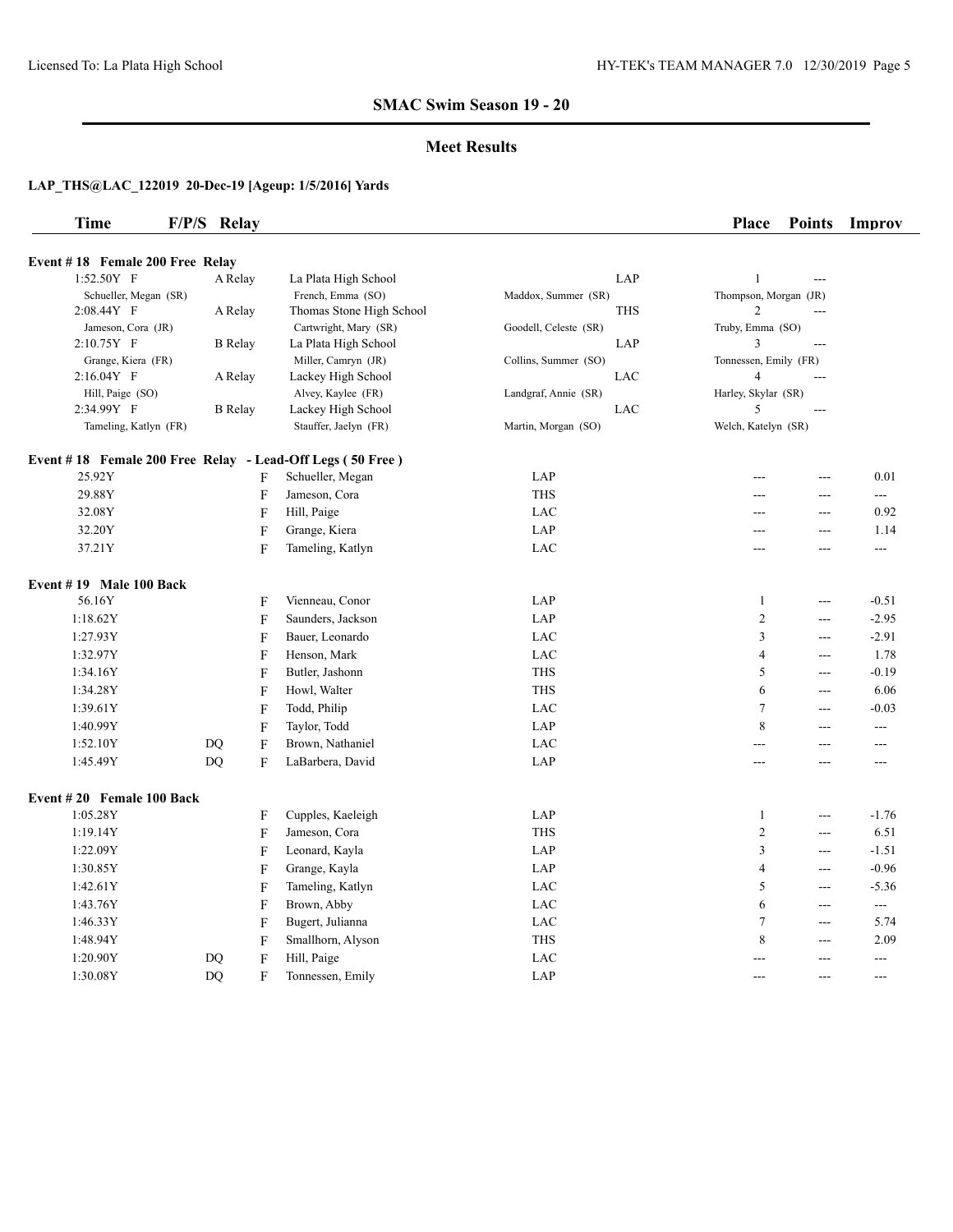#### **Meet Results**

| <b>Time</b>                     | F/P/S Relay | <b>Place</b> | <b>Points</b> | Improv |
|---------------------------------|-------------|--------------|---------------|--------|
|                                 |             |              |               |        |
| Event #18 Female 200 Free Relay |             |              |               |        |

| $1:52.50Y$ F                                              | A Relay                         | La Plata High School     | LAP                   | $\mathbf{1}$          | ---            |          |
|-----------------------------------------------------------|---------------------------------|--------------------------|-----------------------|-----------------------|----------------|----------|
| Schueller, Megan (SR)                                     |                                 | French, Emma (SO)        | Maddox, Summer (SR)   | Thompson, Morgan (JR) |                |          |
| 2:08.44Y F                                                | A Relay                         | Thomas Stone High School | <b>THS</b>            | $\overline{c}$        | ---            |          |
| Jameson, Cora (JR)                                        |                                 | Cartwright, Mary (SR)    | Goodell, Celeste (SR) | Truby, Emma (SO)      |                |          |
| 2:10.75Y F                                                | <b>B</b> Relay                  | La Plata High School     | LAP                   | 3                     | $\overline{a}$ |          |
| Grange, Kiera (FR)                                        |                                 | Miller, Camryn (JR)      | Collins, Summer (SO)  | Tonnessen, Emily (FR) |                |          |
| 2:16.04Y F                                                | A Relay                         | Lackey High School       | LAC                   | $\overline{4}$        | ---            |          |
| Hill, Paige (SO)                                          |                                 | Alvey, Kaylee (FR)       | Landgraf, Annie (SR)  | Harley, Skylar (SR)   |                |          |
| 2:34.99Y F                                                | <b>B</b> Relay                  | Lackey High School       | LAC                   | 5                     | $---$          |          |
| Tameling, Katlyn (FR)                                     |                                 | Stauffer, Jaelyn (FR)    | Martin, Morgan (SO)   | Welch, Katelyn (SR)   |                |          |
| Event #18 Female 200 Free Relay - Lead-Off Legs (50 Free) |                                 |                          |                       |                       |                |          |
| 25.92Y                                                    | F                               | Schueller, Megan         | LAP                   |                       | ---            | 0.01     |
| 29.88Y                                                    | F                               | Jameson, Cora            | <b>THS</b>            | ---                   | ---            | $\cdots$ |
| 32.08Y                                                    | F                               | Hill, Paige              | LAC                   | ---                   | ---            | 0.92     |
| 32.20Y                                                    | F                               | Grange, Kiera            | LAP                   |                       | ---            | 1.14     |
| 37.21Y                                                    | $\boldsymbol{\mathrm{F}}$       | Tameling, Katlyn         | LAC                   | $---$                 | $---$          | $---$    |
| Event $# 19$ Male 100 Back                                |                                 |                          |                       |                       |                |          |
| 56.16Y                                                    | F                               | Vienneau, Conor          | LAP                   | 1                     | $---$          | $-0.51$  |
| 1:18.62Y                                                  | F                               | Saunders, Jackson        | LAP                   | $\overline{c}$        | $---$          | $-2.95$  |
| 1:27.93Y                                                  | F                               | Bauer, Leonardo          | LAC                   | 3                     | ---            | $-2.91$  |
| 1:32.97Y                                                  | $\boldsymbol{\mathrm{F}}$       | Henson, Mark             | LAC                   | $\overline{4}$        | ---            | 1.78     |
| 1:34.16Y                                                  | $\boldsymbol{\mathrm{F}}$       | Butler, Jashonn          | THS                   | 5                     | $---$          | $-0.19$  |
| 1:34.28Y                                                  | F                               | Howl, Walter             | <b>THS</b>            | 6                     | ---            | 6.06     |
| 1:39.61Y                                                  | F                               | Todd, Philip             | LAC                   | 7                     | $---$          | $-0.03$  |
| 1:40.99Y                                                  | $\boldsymbol{\mathrm{F}}$       | Taylor, Todd             | LAP                   | 8                     | $---$          | ---      |
| 1:52.10Y                                                  | $\boldsymbol{\mathrm{F}}$<br>DQ | Brown, Nathaniel         | LAC                   | ---                   | $---$          | $---$    |
| 1:45.49Y                                                  | DQ<br>$\mathbf F$               | LaBarbera, David         | LAP                   | ---                   | ---            | ---      |
| Event #20 Female 100 Back                                 |                                 |                          |                       |                       |                |          |
| 1:05.28Y                                                  | F                               | Cupples, Kaeleigh        | LAP                   | 1                     | ---            | $-1.76$  |
| 1:19.14Y                                                  | $\boldsymbol{\mathrm{F}}$       | Jameson, Cora            | <b>THS</b>            | $\overline{c}$        | ---            | 6.51     |
| 1:22.09Y                                                  | F                               | Leonard, Kayla           | LAP                   | 3                     | $--$           | $-1.51$  |
| 1:30.85Y                                                  | F                               | Grange, Kayla            | LAP                   | $\overline{4}$        | $\overline{a}$ | $-0.96$  |
| 1:42.61Y                                                  | F                               | Tameling, Katlyn         | LAC                   | 5                     | ---            | $-5.36$  |
| 1:43.76Y                                                  | F                               | Brown, Abby              | LAC                   | 6                     | ---            | $--$     |
| 1:46.33Y                                                  | $\boldsymbol{\mathrm{F}}$       | Bugert, Julianna         | LAC                   | 7                     | $---$          | 5.74     |
| 1:48.94Y                                                  | $\boldsymbol{\mathrm{F}}$       | Smallhorn, Alyson        | THS                   | 8                     | $--$           | 2.09     |
| 1:20.90Y                                                  | $\boldsymbol{\mathrm{F}}$<br>DQ | Hill, Paige              | $_{\rm LAC}$          |                       | ---            | ---      |
| 1:30.08Y                                                  | <b>DQ</b><br>F                  | Tonnessen, Emily         | LAP                   | $- - -$               | ---            | ---      |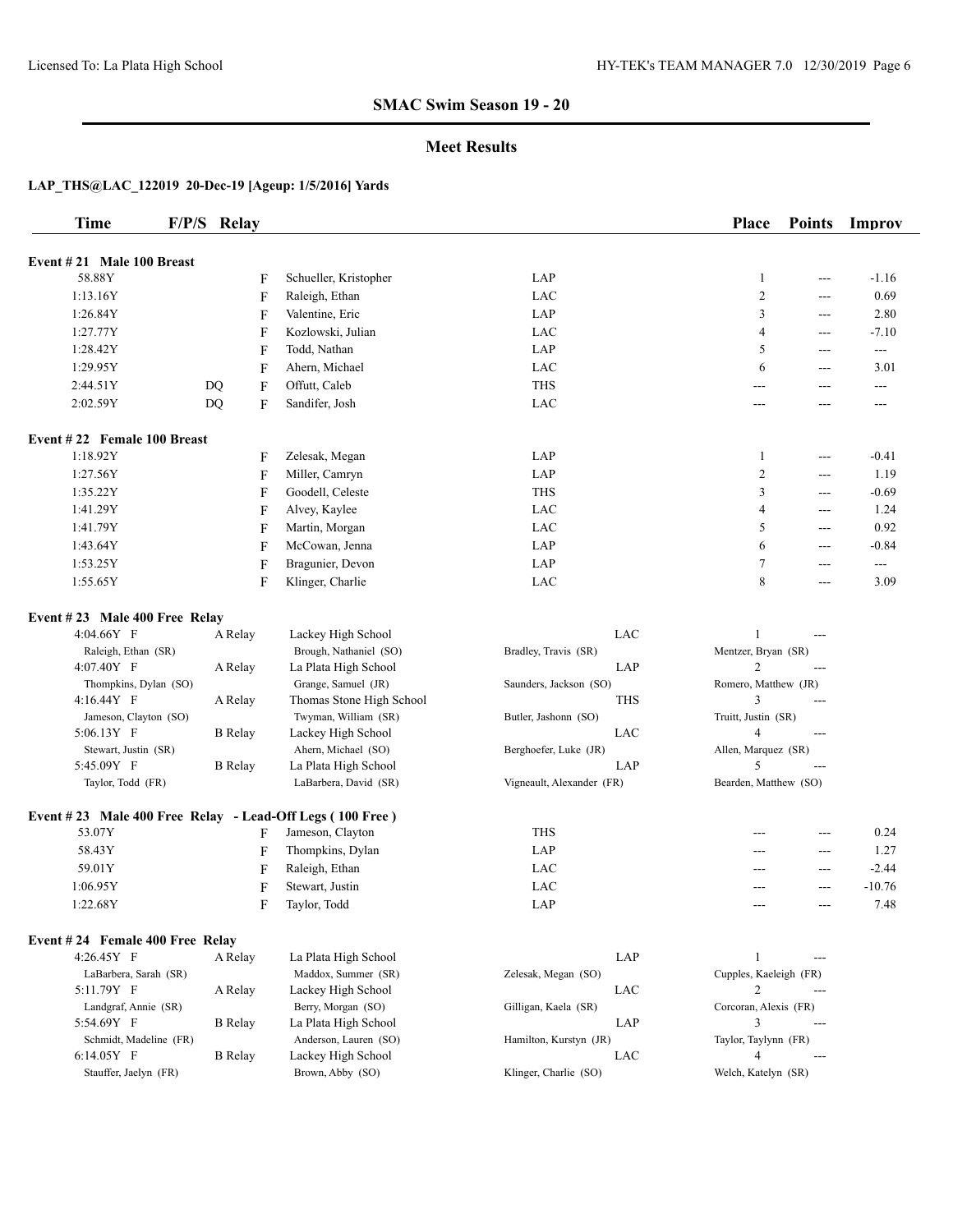#### **Meet Results**

| <b>Time</b>                                              | F/P/S Relay    |              |                          |                             | Place                  | <b>Points</b>  | Improv   |
|----------------------------------------------------------|----------------|--------------|--------------------------|-----------------------------|------------------------|----------------|----------|
| Event #21 Male 100 Breast                                |                |              |                          |                             |                        |                |          |
| 58.88Y                                                   |                | F            | Schueller, Kristopher    | $\ensuremath{\mathrm{LAP}}$ | $\mathbf{1}$           | ---            | $-1.16$  |
| 1:13.16Y                                                 |                | $\mathbf{F}$ | Raleigh, Ethan           | LAC                         | $\overline{c}$         | ---            | 0.69     |
| 1:26.84Y                                                 |                | F            | Valentine, Eric          | LAP                         | 3                      | ---            | 2.80     |
| 1:27.77Y                                                 |                | F            | Kozlowski, Julian        | LAC                         | 4                      | ---            | $-7.10$  |
| 1:28.42Y                                                 |                | F            | Todd, Nathan             | LAP                         | 5                      | ---            | $\cdots$ |
| 1:29.95Y                                                 |                | F            | Ahern, Michael           | LAC                         | 6                      | ---            | 3.01     |
| 2:44.51Y                                                 | DQ             | F            | Offutt, Caleb            | <b>THS</b>                  | ---                    | ---            | $---$    |
| 2:02.59Y                                                 | <b>DQ</b>      | F            | Sandifer, Josh           | LAC                         | $---$                  | ---            | $---$    |
|                                                          |                |              |                          |                             |                        |                |          |
| Event #22 Female 100 Breast                              |                |              |                          |                             |                        |                |          |
| 1:18.92Y                                                 |                | F            | Zelesak, Megan           | LAP                         | 1                      | $---$          | $-0.41$  |
| 1:27.56Y                                                 |                | F            | Miller, Camryn           | LAP                         | $\overline{c}$         | ---            | 1.19     |
| 1:35.22Y                                                 |                | F            | Goodell, Celeste         | <b>THS</b>                  | 3                      | ---            | $-0.69$  |
| 1:41.29Y                                                 |                | F            | Alvey, Kaylee            | LAC                         | 4                      | $\overline{a}$ | 1.24     |
| 1:41.79Y                                                 |                | F            | Martin, Morgan           | <b>LAC</b>                  | 5                      | ---            | 0.92     |
| 1:43.64Y                                                 |                | F            | McCowan, Jenna           | LAP                         | 6                      | ---            | $-0.84$  |
| 1:53.25Y                                                 |                | F            | Bragunier, Devon         | LAP                         | 7                      | ---            | ---      |
| 1:55.65Y                                                 |                | F            | Klinger, Charlie         | LAC                         | 8                      | ---            | 3.09     |
| Event #23 Male 400 Free Relay                            |                |              |                          |                             |                        |                |          |
| 4:04.66Y F                                               | A Relay        |              | Lackey High School       | LAC                         | $\mathbf{1}$           | $\overline{a}$ |          |
| Raleigh, Ethan (SR)                                      |                |              | Brough, Nathaniel (SO)   | Bradley, Travis (SR)        | Mentzer, Bryan (SR)    |                |          |
| 4:07.40Y F                                               | A Relay        |              | La Plata High School     | LAP                         | 2                      | $\overline{a}$ |          |
| Thompkins, Dylan (SO)                                    |                |              | Grange, Samuel (JR)      | Saunders, Jackson (SO)      | Romero, Matthew (JR)   |                |          |
| 4:16.44Y F                                               | A Relay        |              | Thomas Stone High School | <b>THS</b>                  | 3                      | ---            |          |
| Jameson, Clayton (SO)                                    |                |              | Twyman, William (SR)     | Butler, Jashonn (SO)        | Truitt, Justin (SR)    |                |          |
| 5:06.13Y F                                               | <b>B</b> Relay |              | Lackey High School       | LAC                         | $\overline{4}$         | $\overline{a}$ |          |
| Stewart, Justin (SR)                                     |                |              | Ahern, Michael (SO)      | Berghoefer, Luke (JR)       | Allen, Marquez (SR)    |                |          |
| 5:45.09Y F                                               | <b>B</b> Relay |              | La Plata High School     | LAP                         | 5                      | $\overline{a}$ |          |
| Taylor, Todd (FR)                                        |                |              | LaBarbera, David (SR)    | Vigneault, Alexander (FR)   | Bearden, Matthew (SO)  |                |          |
| Event #23 Male 400 Free Relay - Lead-Off Legs (100 Free) |                |              |                          |                             |                        |                |          |
| 53.07Y                                                   |                | F            | Jameson, Clayton         | <b>THS</b>                  |                        | $---$          | 0.24     |
| 58.43Y                                                   |                | F            | Thompkins, Dylan         | LAP                         | ---                    | ---            | 1.27     |
| 59.01Y                                                   |                | F            | Raleigh, Ethan           | LAC                         | $---$                  | ---            | $-2.44$  |
| 1:06.95Y                                                 |                | F            | Stewart, Justin          | <b>LAC</b>                  |                        | ---            | $-10.76$ |
| 1:22.68Y                                                 |                | F            | Taylor, Todd             | LAP                         | $---$                  | $---$          | 7.48     |
| Event #24 Female 400 Free Relay                          |                |              |                          |                             |                        |                |          |
| 4:26.45Y F                                               | A Relay        |              | La Plata High School     | LAP                         | $\mathbf{1}$           | $\overline{a}$ |          |
| LaBarbera, Sarah (SR)                                    |                |              | Maddox, Summer (SR)      | Zelesak, Megan (SO)         | Cupples, Kaeleigh (FR) |                |          |
| 5:11.79Y F                                               | A Relay        |              | Lackey High School       | LAC                         | 2                      | $---$          |          |
| Landgraf, Annie (SR)                                     |                |              | Berry, Morgan (SO)       | Gilligan, Kaela (SR)        | Corcoran, Alexis (FR)  |                |          |
| 5:54.69Y F                                               | <b>B</b> Relay |              | La Plata High School     | LAP                         | 3                      | $\overline{a}$ |          |
| Schmidt, Madeline (FR)                                   |                |              | Anderson, Lauren (SO)    | Hamilton, Kurstyn (JR)      | Taylor, Taylynn (FR)   |                |          |
| 6:14.05Y F                                               | <b>B</b> Relay |              | Lackey High School       | LAC                         | 4                      | $\overline{a}$ |          |
| Stauffer, Jaelyn (FR)                                    |                |              | Brown, Abby (SO)         | Klinger, Charlie (SO)       | Welch, Katelyn (SR)    |                |          |